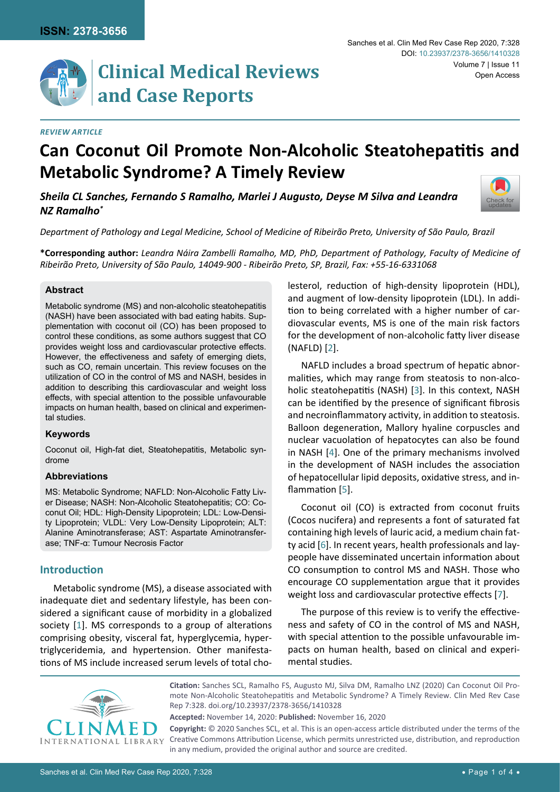**Clinical Medical Reviews and Case Reports**

#### *Review Article*

# **Can Coconut Oil Promote Non-Alcoholic Steatohepatitis and Metabolic Syndrome? A Timely Review**

*Sheila CL Sanches, Fernando S Ramalho, Marlei J Augusto, Deyse M Silva and Leandra NZ Ramalho\**



*Department of Pathology and Legal Medicine, School of Medicine of Ribeirão Preto, University of São Paulo, Brazil*

**\*Corresponding author:** *Leandra Náira Zambelli Ramalho, MD, PhD, Department of Pathology, Faculty of Medicine of Ribeirão Preto, University of São Paulo, 14049-900 - Ribeirão Preto, SP, Brazil, Fax: +55-16-6331068*

#### **Abstract**

Metabolic syndrome (MS) and non-alcoholic steatohepatitis (NASH) have been associated with bad eating habits. Supplementation with coconut oil (CO) has been proposed to control these conditions, as some authors suggest that CO provides weight loss and cardiovascular protective effects. However, the effectiveness and safety of emerging diets, such as CO, remain uncertain. This review focuses on the utilization of CO in the control of MS and NASH, besides in addition to describing this cardiovascular and weight loss effects, with special attention to the possible unfavourable impacts on human health, based on clinical and experimental studies.

#### **Keywords**

Coconut oil, High-fat diet, Steatohepatitis, Metabolic syndrome

#### **Abbreviations**

MS: Metabolic Syndrome; NAFLD: Non-Alcoholic Fatty Liver Disease; NASH: Non-Alcoholic Steatohepatitis; CO: Coconut Oil; HDL: High-Density Lipoprotein; LDL: Low-Density Lipoprotein; VLDL: Very Low-Density Lipoprotein; ALT: Alanine Aminotransferase; AST: Aspartate Aminotransferase; TNF-α: Tumour Necrosis Factor

## **Introduction**

Metabolic syndrome (MS), a disease associated with inadequate diet and sedentary lifestyle, has been considered a significant cause of morbidity in a globalized society [[1](#page-2-6)]. MS corresponds to a group of alterations comprising obesity, visceral fat, hyperglycemia, hypertriglyceridemia, and hypertension. Other manifestations of MS include increased serum levels of total cholesterol, reduction of high-density lipoprotein (HDL), and augment of low-density lipoprotein (LDL). In addition to being correlated with a higher number of cardiovascular events, MS is one of the main risk factors for the development of non-alcoholic fatty liver disease (NAFLD) [[2](#page-2-0)].

NAFLD includes a broad spectrum of hepatic abnormalities, which may range from steatosis to non-alcoholic steatohepatitis (NASH) [[3](#page-2-1)]. In this context, NASH can be identified by the presence of significant fibrosis and necroinflammatory activity, in addition to steatosis. Balloon degeneration, Mallory hyaline corpuscles and nuclear vacuolation of hepatocytes can also be found in NASH [[4](#page-2-2)]. One of the primary mechanisms involved in the development of NASH includes the association of hepatocellular lipid deposits, oxidative stress, and inflammation [[5](#page-2-3)].

Coconut oil (CO) is extracted from coconut fruits (Cocos nucifera) and represents a font of saturated fat containing high levels of lauric acid, a medium chain fatty acid [[6](#page-2-4)]. In recent years, health professionals and laypeople have disseminated uncertain information about CO consumption to control MS and NASH. Those who encourage CO supplementation argue that it provides weight loss and cardiovascular protective effects [[7](#page-2-5)].

The purpose of this review is to verify the effectiveness and safety of CO in the control of MS and NASH, with special attention to the possible unfavourable impacts on human health, based on clinical and experimental studies.



**Citation:** Sanches SCL, Ramalho FS, Augusto MJ, Silva DM, Ramalho LNZ (2020) Can Coconut Oil Promote Non-Alcoholic Steatohepatitis and Metabolic Syndrome? A Timely Review. Clin Med Rev Case Rep 7:328. [doi.org/10.23937/2378-3656/1410328](https://doi.org/10.23937/2378-3656/1410328)

**Accepted:** November 14, 2020: **Published:** November 16, 2020

**Copyright:** © 2020 Sanches SCL, et al. This is an open-access article distributed under the terms of the Creative Commons Attribution License, which permits unrestricted use, distribution, and reproduction in any medium, provided the original author and source are credited.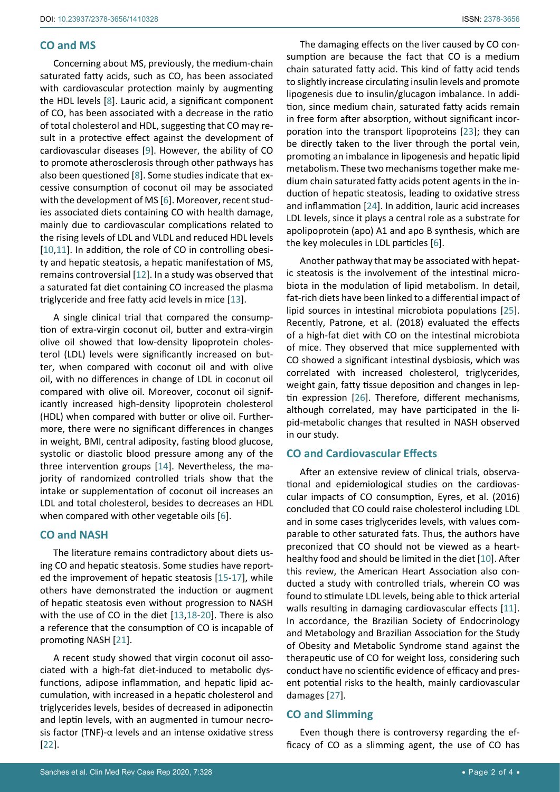## **CO and MS**

Concerning about MS, previously, the medium-chain saturated fatty acids, such as CO, has been associated with cardiovascular protection mainly by augmenting the HDL levels [[8](#page-2-9)]. Lauric acid, a significant component of CO, has been associated with a decrease in the ratio of total cholesterol and HDL, suggesting that CO may result in a protective effect against the development of cardiovascular diseases [\[9](#page-2-10)]. However, the ability of CO to promote atherosclerosis through other pathways has also been questioned [[8](#page-2-9)]. Some studies indicate that excessive consumption of coconut oil may be associated with the development of MS [[6](#page-2-4)]. Moreover, recent studies associated diets containing CO with health damage, mainly due to cardiovascular complications related to the rising levels of LDL and VLDL and reduced HDL levels [[10](#page-2-7),[11](#page-2-8)]. In addition, the role of CO in controlling obesity and hepatic steatosis, a hepatic manifestation of MS, remains controversial [[12](#page-2-11)]. In a study was observed that a saturated fat diet containing CO increased the plasma triglyceride and free fatty acid levels in mice [[13](#page-2-12)].

A single clinical trial that compared the consumption of extra-virgin coconut oil, butter and extra-virgin olive oil showed that low-density lipoprotein cholesterol (LDL) levels were significantly increased on butter, when compared with coconut oil and with olive oil, with no differences in change of LDL in coconut oil compared with olive oil. Moreover, coconut oil significantly increased high-density lipoprotein cholesterol (HDL) when compared with butter or olive oil. Furthermore, there were no significant differences in changes in weight, BMI, central adiposity, fasting blood glucose, systolic or diastolic blood pressure among any of the three intervention groups [[14](#page-2-13)]. Nevertheless, the majority of randomized controlled trials show that the intake or supplementation of coconut oil increases an LDL and total cholesterol, besides to decreases an HDL when compared with other vegetable oils [[6](#page-2-4)].

### **CO and NASH**

The literature remains contradictory about diets using CO and hepatic steatosis. Some studies have reported the improvement of hepatic steatosis [[15](#page-2-14)[-17](#page-3-5)], while others have demonstrated the induction or augment of hepatic steatosis even without progression to NASH with the use of CO in the diet [[13,](#page-2-12)[18-](#page-3-6)[20](#page-3-7)]. There is also a reference that the consumption of CO is incapable of promoting NASH [[21](#page-3-8)].

A recent study showed that virgin coconut oil associated with a high-fat diet-induced to metabolic dysfunctions, adipose inflammation, and hepatic lipid accumulation, with increased in a hepatic cholesterol and triglycerides levels, besides of decreased in adiponectin and leptin levels, with an augmented in tumour necrosis factor (TNF)-α levels and an intense oxidative stress [[22](#page-3-9)].

The damaging effects on the liver caused by CO consumption are because the fact that CO is a medium chain saturated fatty acid. This kind of fatty acid tends to slightly increase circulating insulin levels and promote lipogenesis due to insulin/glucagon imbalance. In addition, since medium chain, saturated fatty acids remain in free form after absorption, without significant incorporation into the transport lipoproteins [[23](#page-3-0)]; they can be directly taken to the liver through the portal vein, promoting an imbalance in lipogenesis and hepatic lipid metabolism. These two mechanisms together make medium chain saturated fatty acids potent agents in the induction of hepatic steatosis, leading to oxidative stress and inflammation [[24](#page-3-1)]. In addition, lauric acid increases LDL levels, since it plays a central role as a substrate for apolipoprotein (apo) A1 and apo B synthesis, which are the key molecules in LDL particles [[6](#page-2-4)].

Another pathway that may be associated with hepatic steatosis is the involvement of the intestinal microbiota in the modulation of lipid metabolism. In detail, fat-rich diets have been linked to a differential impact of lipid sources in intestinal microbiota populations [\[25\]](#page-3-2). Recently, Patrone, et al. (2018) evaluated the effects of a high-fat diet with CO on the intestinal microbiota of mice. They observed that mice supplemented with CO showed a significant intestinal dysbiosis, which was correlated with increased cholesterol, triglycerides, weight gain, fatty tissue deposition and changes in leptin expression [[26](#page-3-3)]. Therefore, different mechanisms, although correlated, may have participated in the lipid-metabolic changes that resulted in NASH observed in our study.

## **CO and Cardiovascular Effects**

After an extensive review of clinical trials, observational and epidemiological studies on the cardiovascular impacts of CO consumption, Eyres, et al. (2016) concluded that CO could raise cholesterol including LDL and in some cases triglycerides levels, with values comparable to other saturated fats. Thus, the authors have preconized that CO should not be viewed as a hearthealthy food and should be limited in the diet [[10](#page-2-7)]. After this review, the American Heart Association also conducted a study with controlled trials, wherein CO was found to stimulate LDL levels, being able to thick arterial walls resulting in damaging cardiovascular effects [[11](#page-2-8)]. In accordance, the Brazilian Society of Endocrinology and Metabology and Brazilian Association for the Study of Obesity and Metabolic Syndrome stand against the therapeutic use of CO for weight loss, considering such conduct have no scientific evidence of efficacy and present potential risks to the health, mainly cardiovascular damages [[27](#page-3-4)].

# **CO and Slimming**

Even though there is controversy regarding the efficacy of CO as a slimming agent, the use of CO has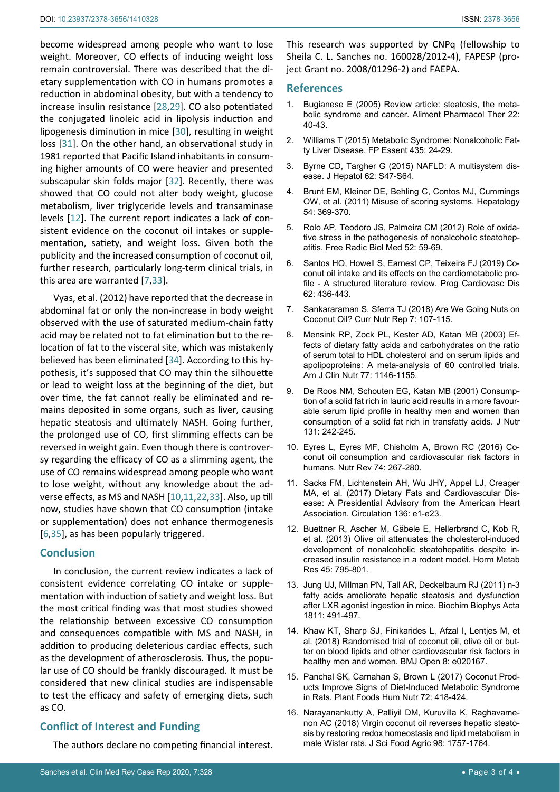become widespread among people who want to lose weight. Moreover, CO effects of inducing weight loss remain controversial. There was described that the dietary supplementation with CO in humans promotes a reduction in abdominal obesity, but with a tendency to increase insulin resistance [[28,](#page-3-10)[29\]](#page-3-11). CO also potentiated the conjugated linoleic acid in lipolysis induction and lipogenesis diminution in mice [[30](#page-3-12)], resulting in weight loss [[31](#page-3-13)]. On the other hand, an observational study in 1981 reported that Pacific Island inhabitants in consuming higher amounts of CO were heavier and presented subscapular skin folds major [[32](#page-3-14)]. Recently, there was showed that CO could not alter body weight, glucose metabolism, liver triglyceride levels and transaminase levels [[12](#page-2-11)]. The current report indicates a lack of consistent evidence on the coconut oil intakes or supplementation, satiety, and weight loss. Given both the publicity and the increased consumption of coconut oil, further research, particularly long-term clinical trials, in this area are warranted [[7,](#page-2-5)[33](#page-3-15)].

Vyas, et al. (2012) have reported that the decrease in abdominal fat or only the non-increase in body weight observed with the use of saturated medium-chain fatty acid may be related not to fat elimination but to the relocation of fat to the visceral site, which was mistakenly believed has been eliminated [[34](#page-3-16)]. According to this hypothesis, it's supposed that CO may thin the silhouette or lead to weight loss at the beginning of the diet, but over time, the fat cannot really be eliminated and remains deposited in some organs, such as liver, causing hepatic steatosis and ultimately NASH. Going further, the prolonged use of CO, first slimming effects can be reversed in weight gain. Even though there is controversy regarding the efficacy of CO as a slimming agent, the use of CO remains widespread among people who want to lose weight, without any knowledge about the adverse effects, as MS and NASH [[10](#page-2-7),[11](#page-2-8),[22,](#page-3-9)[33](#page-3-15)]. Also, up till now, studies have shown that CO consumption (intake or supplementation) does not enhance thermogenesis [[6](#page-2-4),[35](#page-3-17)], as has been popularly triggered.

## **Conclusion**

In conclusion, the current review indicates a lack of consistent evidence correlating CO intake or supplementation with induction of satiety and weight loss. But the most critical finding was that most studies showed the relationship between excessive CO consumption and consequences compatible with MS and NASH, in addition to producing deleterious cardiac effects, such as the development of atherosclerosis. Thus, the popular use of CO should be frankly discouraged. It must be considered that new clinical studies are indispensable to test the efficacy and safety of emerging diets, such as CO.

# **Conflict of Interest and Funding**

The authors declare no competing financial interest.

This research was supported by CNPq (fellowship to Sheila C. L. Sanches no. 160028/2012-4), FAPESP (project Grant no. [2008/01296-2\)](http://www.sciencedirect.com/science/article/pii/S0278691514000933#gp005) and FAEPA.

#### **References**

- <span id="page-2-6"></span>1. Bugianese E (2005) Review article: steatosis, the metabolic syndrome and cancer. Aliment Pharmacol Ther 22: 40-43.
- <span id="page-2-0"></span>2. Williams T (2015) Metabolic Syndrome: Nonalcoholic Fatty Liver Disease. FP Essent 435: 24-29.
- <span id="page-2-1"></span>3. Byrne CD, Targher G (2015) NAFLD: A multisystem disease. J Hepatol 62: S47-S64.
- <span id="page-2-2"></span>4. Brunt EM, Kleiner DE, Behling C, Contos MJ, Cummings OW, et al. (2011) Misuse of scoring systems. Hepatology 54: 369-370.
- <span id="page-2-3"></span>5. Rolo AP, Teodoro JS, Palmeira CM (2012) Role of oxidative stress in the pathogenesis of nonalcoholic steatohepatitis. Free Radic Biol Med 52: 59-69.
- <span id="page-2-4"></span>6. Santos HO, Howell S, Earnest CP, Teixeira FJ (2019) Coconut oil intake and its effects on the cardiometabolic profile - A structured literature review. Prog Cardiovasc Dis 62: 436-443.
- <span id="page-2-5"></span>7. Sankararaman S, Sferra TJ (2018) Are We Going Nuts on Coconut Oil? Curr Nutr Rep 7: 107-115.
- <span id="page-2-9"></span>8. Mensink RP, Zock PL, Kester AD, Katan MB (2003) Effects of dietary fatty acids and carbohydrates on the ratio of serum total to HDL cholesterol and on serum lipids and apolipoproteins: A meta-analysis of 60 controlled trials. Am J Clin Nutr 77: 1146-1155.
- <span id="page-2-10"></span>9. De Roos NM, Schouten EG, Katan MB (2001) Consumption of a solid fat rich in lauric acid results in a more favourable serum lipid profile in healthy men and women than consumption of a solid fat rich in transfatty acids. J Nutr 131: 242-245.
- <span id="page-2-7"></span>10. Eyres L, Eyres MF, Chisholm A, Brown RC (2016) Coconut oil consumption and cardiovascular risk factors in humans. Nutr Rev 74: 267-280.
- <span id="page-2-8"></span>11. Sacks FM, Lichtenstein AH, Wu JHY, Appel LJ, Creager MA, et al. (2017) Dietary Fats and Cardiovascular Disease: A Presidential Advisory from the American Heart Association. Circulation 136: e1-e23.
- <span id="page-2-11"></span>12. Buettner R, Ascher M, Gäbele E, Hellerbrand C, Kob R, et al. (2013) Olive oil attenuates the cholesterol-induced development of nonalcoholic steatohepatitis despite increased insulin resistance in a rodent model. Horm Metab Res 45: 795-801.
- <span id="page-2-12"></span>13. Jung UJ, Millman PN, Tall AR, Deckelbaum RJ (2011) n-3 fatty acids ameliorate hepatic steatosis and dysfunction after LXR agonist ingestion in mice. Biochim Biophys Acta 1811: 491-497.
- <span id="page-2-13"></span>14. Khaw KT, Sharp SJ, Finikarides L, Afzal I, Lentjes M, et al. (2018) Randomised trial of coconut oil, olive oil or butter on blood lipids and other cardiovascular risk factors in healthy men and women. BMJ Open 8: e020167.
- <span id="page-2-14"></span>15. Panchal SK, Carnahan S, Brown L (2017) Coconut Products Improve Signs of Diet-Induced Metabolic Syndrome in Rats. Plant Foods Hum Nutr 72: 418-424.
- 16. Narayanankutty A, Palliyil DM, Kuruvilla K, Raghavamenon AC (2018) Virgin coconut oil reverses hepatic steatosis by restoring redox homeostasis and lipid metabolism in male Wistar rats. J Sci Food Agric 98: 1757-1764.